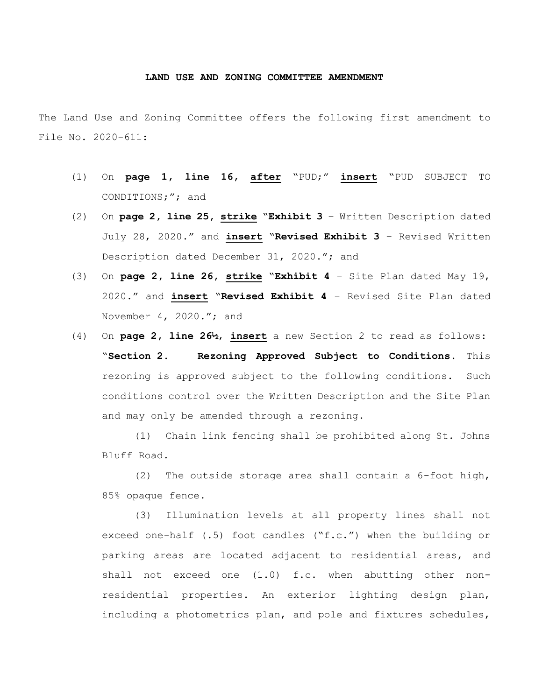## **LAND USE AND ZONING COMMITTEE AMENDMENT**

The Land Use and Zoning Committee offers the following first amendment to File No. 2020-611:

- (1) On **page 1, line 16, after** "PUD;" **insert** "PUD SUBJECT TO CONDITIONS;"; and
- (2) On **page 2, line 25, strike** "**Exhibit 3** Written Description dated July 28, 2020." and **insert** "**Revised Exhibit 3** – Revised Written Description dated December 31, 2020."; and
- (3) On **page 2, line 26, strike** "**Exhibit 4** Site Plan dated May 19, 2020." and **insert** "**Revised Exhibit 4** – Revised Site Plan dated November 4, 2020."; and
- (4) On **page 2, line 26½**, **insert** a new Section 2 to read as follows: "**Section 2. Rezoning Approved Subject to Conditions.** This rezoning is approved subject to the following conditions. Such conditions control over the Written Description and the Site Plan and may only be amended through a rezoning.

(1) Chain link fencing shall be prohibited along St. Johns Bluff Road.

(2) The outside storage area shall contain a 6-foot high, 85% opaque fence.

(3) Illumination levels at all property lines shall not exceed one-half (.5) foot candles ("f.c.") when the building or parking areas are located adjacent to residential areas, and shall not exceed one (1.0) f.c. when abutting other nonresidential properties. An exterior lighting design plan, including a photometrics plan, and pole and fixtures schedules,